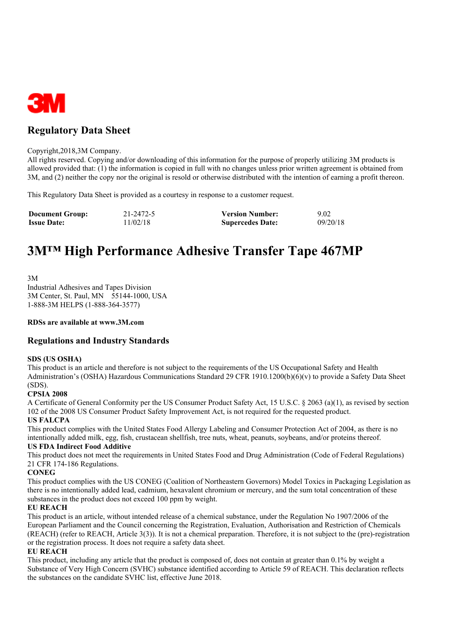

## **Regulatory Data Sheet**

#### Copyright,2018,3M Company.

All rights reserved. Copying and/or downloading of this information for the purpose of properly utilizing 3M products is allowed provided that: (1) the information is copied in full with no changes unless prior written agreement is obtained from 3M, and (2) neither the copy nor the original is resold or otherwise distributed with the intention of earning a profit thereon.

This Regulatory Data Sheet is provided as a courtesy in response to a customer request.

| <b>Document Group:</b> | 21-2472-5 | <b>Version Number:</b>  | 9.02     |
|------------------------|-----------|-------------------------|----------|
| <b>Issue Date:</b>     | 11/02/18  | <b>Supercedes Date:</b> | 09/20/18 |

# **3M™ High Performance Adhesive Transfer Tape 467MP**

3M

Industrial Adhesives and Tapes Division 3M Center, St. Paul, MN 55144-1000, USA 1-888-3M HELPS (1-888-364-3577)

#### **RDSs are available at www.3M.com**

#### **Regulations and Industry Standards**

#### **SDS (US OSHA)**

This product is an article and therefore is not subject to the requirements of the US Occupational Safety and Health Administration's (OSHA) Hazardous Communications Standard 29 CFR 1910.1200(b)(6)(v) to provide a Safety Data Sheet (SDS).

#### **CPSIA 2008**

A Certificate of General Conformity per the US Consumer Product Safety Act, 15 U.S.C. § 2063 (a)(1), as revised by section 102 of the 2008 US Consumer Product Safety Improvement Act, is not required for the requested product.

#### **US FALCPA**

This product complies with the United States Food Allergy Labeling and Consumer Protection Act of 2004, as there is no intentionally added milk, egg, fish, crustacean shellfish, tree nuts, wheat, peanuts, soybeans, and/or proteins thereof.

### **US FDA Indirect Food Additive**

This product does not meet the requirements in United States Food and Drug Administration (Code of Federal Regulations) 21 CFR 174-186 Regulations.

#### **CONEG**

This product complies with the US CONEG (Coalition of Northeastern Governors) Model Toxics in Packaging Legislation as there is no intentionally added lead, cadmium, hexavalent chromium or mercury, and the sum total concentration of these substances in the product does not exceed 100 ppm by weight.

#### **EU REACH**

This product is an article, without intended release of a chemical substance, under the Regulation No 1907/2006 of the European Parliament and the Council concerning the Registration, Evaluation, Authorisation and Restriction of Chemicals (REACH) (refer to REACH, Article 3(3)). It is not a chemical preparation. Therefore, it is not subject to the (pre)-registration or the registration process. It does not require a safety data sheet.

#### **EU REACH**

This product, including any article that the product is composed of, does not contain at greater than 0.1% by weight a Substance of Very High Concern (SVHC) substance identified according to Article 59 of REACH. This declaration reflects the substances on the candidate SVHC list, effective June 2018.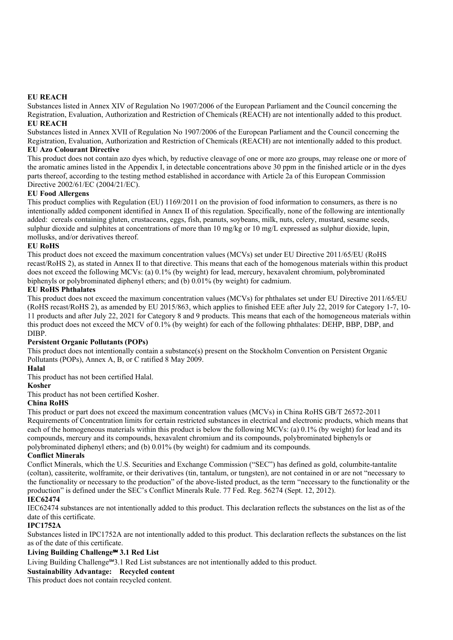#### **EU REACH**

Substances listed in Annex XIV of Regulation No 1907/2006 of the European Parliament and the Council concerning the Registration, Evaluation, Authorization and Restriction of Chemicals (REACH) are not intentionally added to this product. **EU REACH**

Substances listed in Annex XVII of Regulation No 1907/2006 of the European Parliament and the Council concerning the Registration, Evaluation, Authorization and Restriction of Chemicals (REACH) are not intentionally added to this product. **EU Azo Colourant Directive**

This product does not contain azo dyes which, by reductive cleavage of one or more azo groups, may release one or more of the aromatic amines listed in the Appendix I, in detectable concentrations above 30 ppm in the finished article or in the dyes parts thereof, according to the testing method established in accordance with Article 2a of this European Commission Directive 2002/61/EC (2004/21/EC).

#### **EU Food Allergens**

This product complies with Regulation (EU) 1169/2011 on the provision of food information to consumers, as there is no intentionally added component identified in Annex II of this regulation. Specifically, none of the following are intentionally added: cereals containing gluten, crustaceans, eggs, fish, peanuts, soybeans, milk, nuts, celery, mustard, sesame seeds, sulphur dioxide and sulphites at concentrations of more than 10 mg/kg or 10 mg/L expressed as sulphur dioxide, lupin, mollusks, and/or derivatives thereof.

#### **EU RoHS**

This product does not exceed the maximum concentration values (MCVs) set under EU Directive 2011/65/EU (RoHS recast/RoHS 2), as stated in Annex II to that directive. This means that each of the homogenous materials within this product does not exceed the following MCVs: (a) 0.1% (by weight) for lead, mercury, hexavalent chromium, polybrominated biphenyls or polybrominated diphenyl ethers; and (b) 0.01% (by weight) for cadmium.

#### **EU RoHS Phthalates**

This product does not exceed the maximum concentration values (MCVs) for phthalates set under EU Directive 2011/65/EU (RoHS recast/RoHS 2), as amended by EU 2015/863, which applies to finished EEE after July 22, 2019 for Category 1-7, 10- 11 products and after July 22, 2021 for Category 8 and 9 products. This means that each of the homogeneous materials within this product does not exceed the MCV of 0.1% (by weight) for each of the following phthalates: DEHP, BBP, DBP, and DIBP.

#### **Persistent Organic Pollutants (POPs)**

This product does not intentionally contain a substance(s) present on the Stockholm Convention on Persistent Organic Pollutants (POPs), Annex A, B, or C ratified 8 May 2009.

#### **Halal**

This product has not been certified Halal.

#### **Kosher**

This product has not been certified Kosher.

#### **China RoHS**

This product or part does not exceed the maximum concentration values (MCVs) in China RoHS GB/T 26572-2011 Requirements of Concentration limits for certain restricted substances in electrical and electronic products, which means that each of the homogeneous materials within this product is below the following MCVs: (a) 0.1% (by weight) for lead and its compounds, mercury and its compounds, hexavalent chromium and its compounds, polybrominated biphenyls or polybrominated diphenyl ethers; and (b) 0.01% (by weight) for cadmium and its compounds.

#### **Conflict Minerals**

Conflict Minerals, which the U.S. Securities and Exchange Commission ("SEC") has defined as gold, columbite-tantalite (coltan), cassiterite, wolframite, or their derivatives (tin, tantalum, or tungsten), are not contained in or are not "necessary to the functionality or necessary to the production" of the above-listed product, as the term "necessary to the functionality or the production" is defined under the SEC's Conflict Minerals Rule. 77 Fed. Reg. 56274 (Sept. 12, 2012).

#### **IEC62474**

IEC62474 substances are not intentionally added to this product. This declaration reflects the substances on the list as of the date of this certificate.

#### **IPC1752A**

Substances listed in IPC1752A are not intentionally added to this product. This declaration reflects the substances on the list as of the date of this certificate.

#### **Living Building Challenge℠ 3.1 Red List**

Living Building Challenge℠3.1 Red List substances are not intentionally added to this product.

#### **Sustainability Advantage: Recycled content**

This product does not contain recycled content.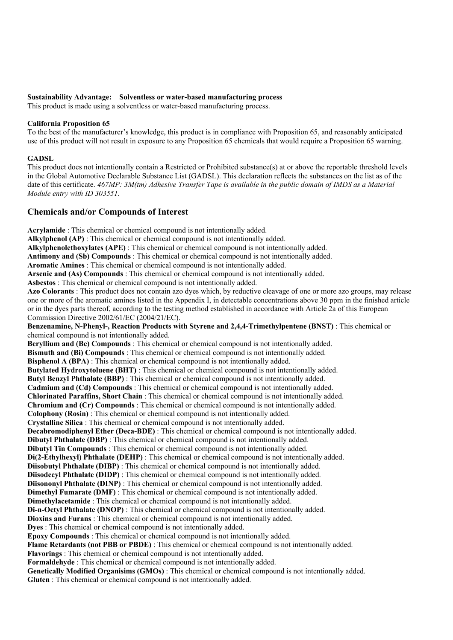#### **Sustainability Advantage: Solventless or water-based manufacturing process**

This product is made using a solventless or water-based manufacturing process.

#### **California Proposition 65**

To the best of the manufacturer's knowledge, this product is in compliance with Proposition 65, and reasonably anticipated use of this product will not result in exposure to any Proposition 65 chemicals that would require a Proposition 65 warning.

#### **GADSL**

This product does not intentionally contain a Restricted or Prohibited substance(s) at or above the reportable threshold levels in the Global Automotive Declarable Substance List (GADSL). This declaration reflects the substances on the list as of the date of this certificate.  $467MP$ :  $3M$ (tm) Adhesive Transfer Tape is available in the public domain of IMDS as a Material *Module entry with ID 303551.*

#### **Chemicals and/or Compounds of Interest**

**Acrylamide** : This chemical or chemical compound is not intentionally added. **Alkylphenol (AP)** : This chemical or chemical compound is not intentionally added. **Alkylphenolethoxylates (APE)** : This chemical or chemical compound is not intentionally added. **Antimony and (Sb) Compounds** : This chemical or chemical compound is not intentionally added. **Aromatic Amines** : This chemical or chemical compound is not intentionally added. **Arsenic and (As) Compounds** : This chemical or chemical compound is not intentionally added. **Asbestos** : This chemical or chemical compound is not intentionally added. **Azo Colorants** : This product does not contain azo dyes which, by reductive cleavage of one or more azo groups, may release one or more of the aromatic amines listed in the Appendix I, in detectable concentrations above 30 ppm in the finished article or in the dyes parts thereof, according to the testing method established in accordance with Article 2a of this European Commission Directive 2002/61/EC (2004/21/EC). **Benzenamine, N-Phenyl-, Reaction Products with Styrene and 2,4,4-Trimethylpentene (BNST)** : This chemical or chemical compound is not intentionally added. **Beryllium and (Be) Compounds** : This chemical or chemical compound is not intentionally added. **Bismuth and (Bi) Compounds** : This chemical or chemical compound is not intentionally added. **Bisphenol A (BPA)** : This chemical or chemical compound is not intentionally added. **Butylated Hydroxytoluene (BHT)** : This chemical or chemical compound is not intentionally added. **Butyl Benzyl Phthalate (BBP)** : This chemical or chemical compound is not intentionally added. **Cadmium and (Cd) Compounds** : This chemical or chemical compound is not intentionally added. **Chlorinated Paraffins, Short Chain** : This chemical or chemical compound is not intentionally added. **Chromium and (Cr) Compounds** : This chemical or chemical compound is not intentionally added. **Colophony (Rosin)** : This chemical or chemical compound is not intentionally added. **Crystalline Silica** : This chemical or chemical compound is not intentionally added. **Decabromodiphenyl Ether (Deca-BDE)** : This chemical or chemical compound is not intentionally added. **Dibutyl Phthalate (DBP)** : This chemical or chemical compound is not intentionally added. **Dibutyl Tin Compounds** : This chemical or chemical compound is not intentionally added. **Di(2-Ethylhexyl) Phthalate (DEHP)** : This chemical or chemical compound is not intentionally added. **Diisobutyl Phthalate (DIBP)** : This chemical or chemical compound is not intentionally added. **Diisodecyl Phthalate (DIDP)** : This chemical or chemical compound is not intentionally added. **Diisononyl Phthalate (DINP)** : This chemical or chemical compound is not intentionally added. **Dimethyl Fumarate (DMF)** : This chemical or chemical compound is not intentionally added. **Dimethylacetamide**: This chemical or chemical compound is not intentionally added. **Di-n-Octyl Phthalate (DNOP)** : This chemical or chemical compound is not intentionally added. **Dioxins and Furans** : This chemical or chemical compound is not intentionally added. **Dyes** : This chemical or chemical compound is not intentionally added. **Epoxy Compounds** : This chemical or chemical compound is not intentionally added. **Flame Retardants (not PBB or PBDE)** : This chemical or chemical compound is not intentionally added. **Flavorings** : This chemical or chemical compound is not intentionally added. **Formaldehyde** : This chemical or chemical compound is not intentionally added. **Genetically Modified Organisims (GMOs)** : This chemical or chemical compound is not intentionally added. **Gluten** : This chemical or chemical compound is not intentionally added.